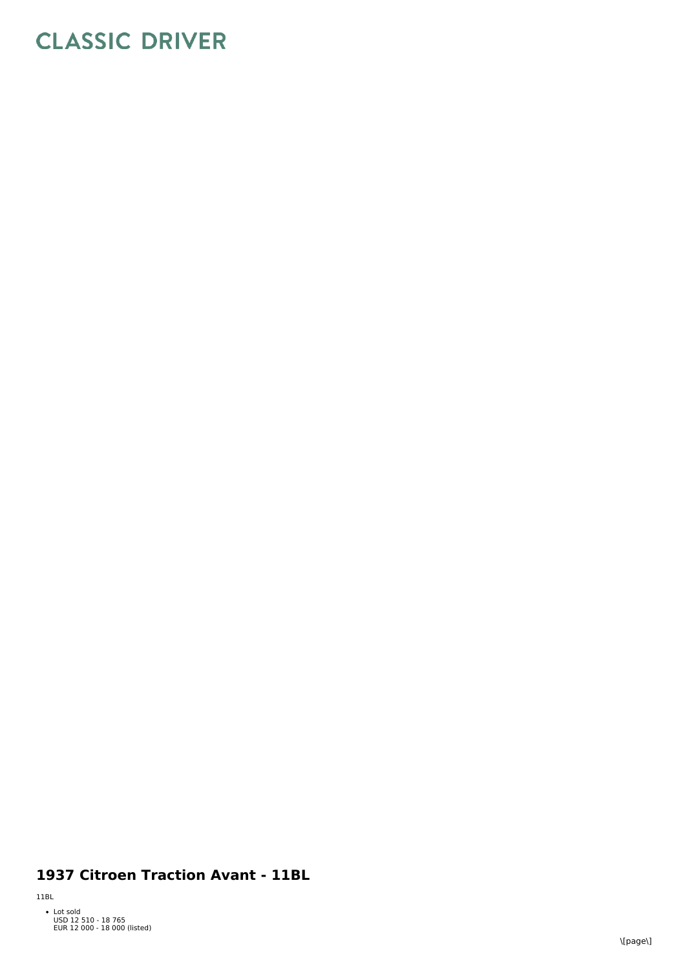## **CLASSIC DRIVER**

## 1937 Citroen Traction Avant - 11BL

 $11BL$ 

• Lot sold<br>USD 12 510 - 18 765<br>EUR 12 000 - 18 000 (listed)